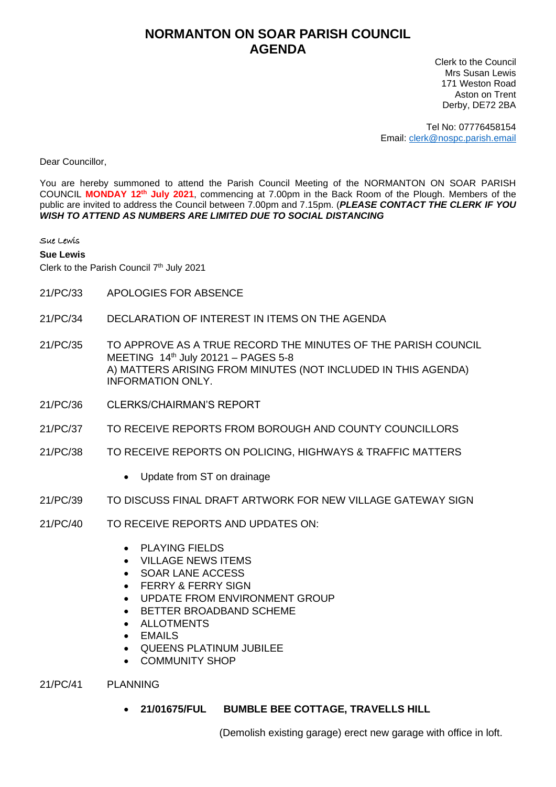## **NORMANTON ON SOAR PARISH COUNCIL AGENDA**

Clerk to the Council Mrs Susan Lewis 171 Weston Road Aston on Trent Derby, DE72 2BA

Tel No: 07776458154 Email: [clerk@nospc.parish.email](mailto:clerk@nospc.parish.email)

Dear Councillor,

You are hereby summoned to attend the Parish Council Meeting of the NORMANTON ON SOAR PARISH COUNCIL **MONDAY 12th July 2021**, commencing at 7.00pm in the Back Room of the Plough. Members of the public are invited to address the Council between 7.00pm and 7.15pm. (*PLEASE CONTACT THE CLERK IF YOU WISH TO ATTEND AS NUMBERS ARE LIMITED DUE TO SOCIAL DISTANCING*

Sue Lewis

**Sue Lewis**

Clerk to the Parish Council 7<sup>th</sup> July 2021

- 21/PC/33 APOLOGIES FOR ABSENCE
- 21/PC/34 DECLARATION OF INTEREST IN ITEMS ON THE AGENDA
- 21/PC/35 TO APPROVE AS A TRUE RECORD THE MINUTES OF THE PARISH COUNCIL MEETING 14<sup>th</sup> July 20121 - PAGES 5-8 A) MATTERS ARISING FROM MINUTES (NOT INCLUDED IN THIS AGENDA) INFORMATION ONLY.
- 21/PC/36 CLERKS/CHAIRMAN'S REPORT
- 21/PC/37 TO RECEIVE REPORTS FROM BOROUGH AND COUNTY COUNCILLORS
- 21/PC/38 TO RECEIVE REPORTS ON POLICING, HIGHWAYS & TRAFFIC MATTERS
	- Update from ST on drainage
- 21/PC/39 TO DISCUSS FINAL DRAFT ARTWORK FOR NEW VILLAGE GATEWAY SIGN
- 21/PC/40 TO RECEIVE REPORTS AND UPDATES ON:
	- PLAYING FIELDS
	- VILLAGE NEWS ITEMS
	- SOAR LANE ACCESS
	- FERRY & FERRY SIGN
	- UPDATE FROM ENVIRONMENT GROUP
	- BETTER BROADBAND SCHEME
	- **ALLOTMENTS**
	- **EMAILS**
	- QUEENS PLATINUM JUBILEE
	- COMMUNITY SHOP
- 21/PC/41 PLANNING
	- **21/01675/FUL BUMBLE BEE COTTAGE, TRAVELLS HILL**

(Demolish existing garage) erect new garage with office in loft.